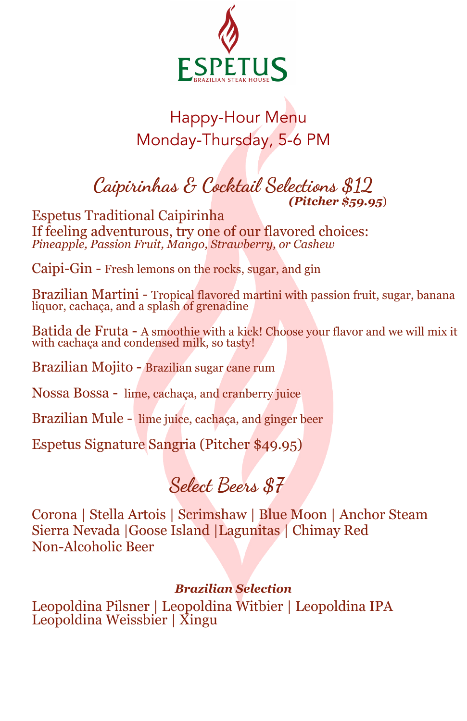

## Happy-Hour Menu Monday-Thursday, 5-6 PM

### **Caipirinhas & Cocktail Selections \$12** *(Pitcher \$59.95*)

Espetus Traditional Caipirinha If feeling adventurous, try one of our flavored choices: *Pineapple, Passion Fruit, Mango, Strawberry, or Cashew*

Caipi-Gin - Fresh lemons on the rocks, sugar, and gin

Brazilian Martini - Tropical flavored martini with passion fruit, sugar, banana liquor, cachaça, and a splash of grenadine

Batida de Fruta - A smoothie with a kick! Choose your flavor and we will mix it with cachaca and condensed milk, so tasty!

Brazilian Mojito - Brazilian sugar cane rum

Nossa Bossa - lime, cachaça, and cranberry juice

Brazilian Mule - lime juice, cachaça, and ginger beer

Espetus Signature Sangria (Pitcher \$49.95)

## **Select Brs \$7**

Corona | Stella Artois | Scrimshaw | Blue Moon | Anchor Steam Sierra Nevada |Goose Island |Lagunitas | Chimay Red Non-Alcoholic Beer

#### *Brazilian Selection*

Leopoldina Pilsner | Leopoldina Witbier | Leopoldina IPA Leopoldina Weissbier | Xingu